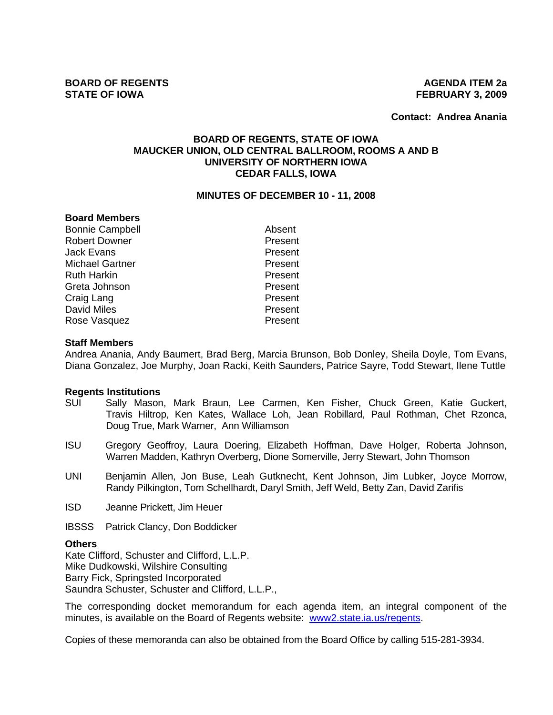**Contact: Andrea Anania**

## **BOARD OF REGENTS, STATE OF IOWA MAUCKER UNION, OLD CENTRAL BALLROOM, ROOMS A AND B UNIVERSITY OF NORTHERN IOWA CEDAR FALLS, IOWA**

#### **MINUTES OF DECEMBER 10 - 11, 2008**

### **Board Members**

Bonnie Campbell **Absent** Robert Downer **Present** Jack Evans **Present** Michael Gartner **Present** Ruth Harkin **Present** Greta Johnson **Present** Craig Lang **Present** David Miles **Present** Rose Vasquez **Present** 

### **Staff Members**

Andrea Anania, Andy Baumert, Brad Berg, Marcia Brunson, Bob Donley, Sheila Doyle, Tom Evans, Diana Gonzalez, Joe Murphy, Joan Racki, Keith Saunders, Patrice Sayre, Todd Stewart, Ilene Tuttle

### **Regents Institutions**

- SUI Sally Mason, Mark Braun, Lee Carmen, Ken Fisher, Chuck Green, Katie Guckert, Travis Hiltrop, Ken Kates, Wallace Loh, Jean Robillard, Paul Rothman, Chet Rzonca, Doug True, Mark Warner, Ann Williamson
- ISU Gregory Geoffroy, Laura Doering, Elizabeth Hoffman, Dave Holger, Roberta Johnson, Warren Madden, Kathryn Overberg, Dione Somerville, Jerry Stewart, John Thomson
- UNI Benjamin Allen, Jon Buse, Leah Gutknecht, Kent Johnson, Jim Lubker, Joyce Morrow, Randy Pilkington, Tom Schellhardt, Daryl Smith, Jeff Weld, Betty Zan, David Zarifis
- ISD Jeanne Prickett, Jim Heuer
- IBSSS Patrick Clancy, Don Boddicker

#### **Others**

Kate Clifford, Schuster and Clifford, L.L.P. Mike Dudkowski, Wilshire Consulting Barry Fick, Springsted Incorporated Saundra Schuster, Schuster and Clifford, L.L.P.,

The corresponding docket memorandum for each agenda item, an integral component of the minutes, is available on the Board of Regents website: www2.state.ia.us/regents.

Copies of these memoranda can also be obtained from the Board Office by calling 515-281-3934.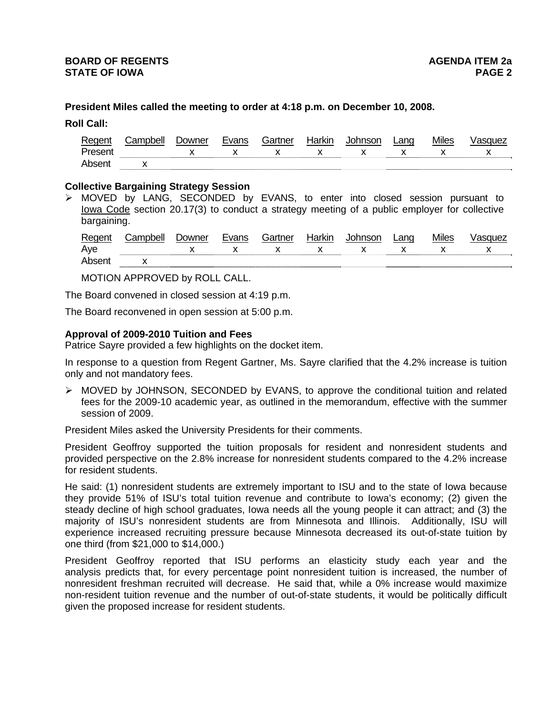## **President Miles called the meeting to order at 4:18 p.m. on December 10, 2008.**

**Roll Call:**

| Regent              | :ampbell | ⊃owner | Gartner | Iorlair |         | Lang | Miles |          |
|---------------------|----------|--------|---------|---------|---------|------|-------|----------|
| Presen <sub>u</sub> |          |        |         |         | $\cdot$ |      |       | $\cdots$ |
| Ahser               |          |        |         |         |         |      |       |          |

### **Collective Bargaining Strategy Session**

 $\triangleright$  MOVED by LANG, SECONDED by EVANS, to enter into closed session pursuant to Iowa Code section 20.17(3) to conduct a strategy meeting of a public employer for collective bargaining.

| Regent | Campbell | Downer | Evans | Gartner                     | Harkin | Johnson                                                                                                                                                                                                                                                                                          | Lang         | <b>Miles</b> | ∕asquez     |
|--------|----------|--------|-------|-----------------------------|--------|--------------------------------------------------------------------------------------------------------------------------------------------------------------------------------------------------------------------------------------------------------------------------------------------------|--------------|--------------|-------------|
| Aye    |          |        |       | $\mathsf{X}$ x $\mathsf{X}$ |        | $\mathsf{X}$ and $\mathsf{X}$ and $\mathsf{X}$ are $\mathsf{X}$ and $\mathsf{X}$ and $\mathsf{X}$ are $\mathsf{X}$ and $\mathsf{X}$ are $\mathsf{X}$ and $\mathsf{X}$ are $\mathsf{X}$ and $\mathsf{X}$ are $\mathsf{X}$ and $\mathsf{X}$ are $\mathsf{X}$ and $\mathsf{X}$ are $\mathsf{X}$ and | $\mathsf{X}$ |              | $\mathbf x$ |
| Absent |          |        |       |                             |        |                                                                                                                                                                                                                                                                                                  |              |              |             |

MOTION APPROVED by ROLL CALL.

The Board convened in closed session at 4:19 p.m.

The Board reconvened in open session at 5:00 p.m.

### **Approval of 2009-2010 Tuition and Fees**

Patrice Sayre provided a few highlights on the docket item.

In response to a question from Regent Gartner, Ms. Sayre clarified that the 4.2% increase is tuition only and not mandatory fees.

 $\triangleright$  MOVED by JOHNSON, SECONDED by EVANS, to approve the conditional tuition and related fees for the 2009-10 academic year, as outlined in the memorandum, effective with the summer session of 2009.

President Miles asked the University Presidents for their comments.

President Geoffroy supported the tuition proposals for resident and nonresident students and provided perspective on the 2.8% increase for nonresident students compared to the 4.2% increase for resident students.

He said: (1) nonresident students are extremely important to ISU and to the state of Iowa because they provide 51% of ISU's total tuition revenue and contribute to Iowa's economy; (2) given the steady decline of high school graduates, Iowa needs all the young people it can attract; and (3) the majority of ISU's nonresident students are from Minnesota and Illinois. Additionally, ISU will experience increased recruiting pressure because Minnesota decreased its out-of-state tuition by one third (from \$21,000 to \$14,000.)

President Geoffroy reported that ISU performs an elasticity study each year and the analysis predicts that, for every percentage point nonresident tuition is increased, the number of nonresident freshman recruited will decrease. He said that, while a 0% increase would maximize non-resident tuition revenue and the number of out-of-state students, it would be politically difficult given the proposed increase for resident students.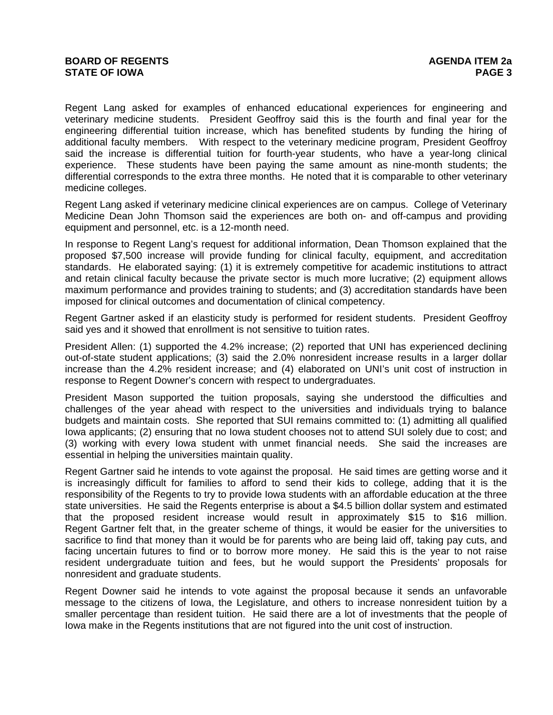Regent Lang asked for examples of enhanced educational experiences for engineering and veterinary medicine students. President Geoffroy said this is the fourth and final year for the engineering differential tuition increase, which has benefited students by funding the hiring of additional faculty members. With respect to the veterinary medicine program, President Geoffroy said the increase is differential tuition for fourth-year students, who have a year-long clinical experience. These students have been paying the same amount as nine-month students; the differential corresponds to the extra three months. He noted that it is comparable to other veterinary medicine colleges.

Regent Lang asked if veterinary medicine clinical experiences are on campus. College of Veterinary Medicine Dean John Thomson said the experiences are both on- and off-campus and providing equipment and personnel, etc. is a 12-month need.

In response to Regent Lang's request for additional information, Dean Thomson explained that the proposed \$7,500 increase will provide funding for clinical faculty, equipment, and accreditation standards. He elaborated saying: (1) it is extremely competitive for academic institutions to attract and retain clinical faculty because the private sector is much more lucrative; (2) equipment allows maximum performance and provides training to students; and (3) accreditation standards have been imposed for clinical outcomes and documentation of clinical competency.

Regent Gartner asked if an elasticity study is performed for resident students. President Geoffroy said yes and it showed that enrollment is not sensitive to tuition rates.

President Allen: (1) supported the 4.2% increase; (2) reported that UNI has experienced declining out-of-state student applications; (3) said the 2.0% nonresident increase results in a larger dollar increase than the 4.2% resident increase; and (4) elaborated on UNI's unit cost of instruction in response to Regent Downer's concern with respect to undergraduates.

President Mason supported the tuition proposals, saying she understood the difficulties and challenges of the year ahead with respect to the universities and individuals trying to balance budgets and maintain costs. She reported that SUI remains committed to: (1) admitting all qualified Iowa applicants; (2) ensuring that no Iowa student chooses not to attend SUI solely due to cost; and (3) working with every Iowa student with unmet financial needs. She said the increases are essential in helping the universities maintain quality.

Regent Gartner said he intends to vote against the proposal. He said times are getting worse and it is increasingly difficult for families to afford to send their kids to college, adding that it is the responsibility of the Regents to try to provide Iowa students with an affordable education at the three state universities. He said the Regents enterprise is about a \$4.5 billion dollar system and estimated that the proposed resident increase would result in approximately \$15 to \$16 million. Regent Gartner felt that, in the greater scheme of things, it would be easier for the universities to sacrifice to find that money than it would be for parents who are being laid off, taking pay cuts, and facing uncertain futures to find or to borrow more money. He said this is the year to not raise resident undergraduate tuition and fees, but he would support the Presidents' proposals for nonresident and graduate students.

Regent Downer said he intends to vote against the proposal because it sends an unfavorable message to the citizens of Iowa, the Legislature, and others to increase nonresident tuition by a smaller percentage than resident tuition. He said there are a lot of investments that the people of Iowa make in the Regents institutions that are not figured into the unit cost of instruction.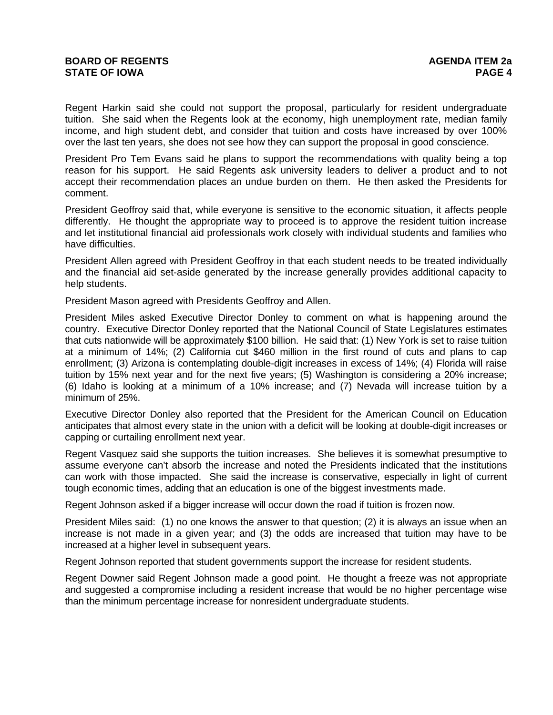Regent Harkin said she could not support the proposal, particularly for resident undergraduate tuition. She said when the Regents look at the economy, high unemployment rate, median family income, and high student debt, and consider that tuition and costs have increased by over 100% over the last ten years, she does not see how they can support the proposal in good conscience.

President Pro Tem Evans said he plans to support the recommendations with quality being a top reason for his support. He said Regents ask university leaders to deliver a product and to not accept their recommendation places an undue burden on them. He then asked the Presidents for comment.

President Geoffroy said that, while everyone is sensitive to the economic situation, it affects people differently. He thought the appropriate way to proceed is to approve the resident tuition increase and let institutional financial aid professionals work closely with individual students and families who have difficulties.

President Allen agreed with President Geoffroy in that each student needs to be treated individually and the financial aid set-aside generated by the increase generally provides additional capacity to help students.

President Mason agreed with Presidents Geoffroy and Allen.

President Miles asked Executive Director Donley to comment on what is happening around the country. Executive Director Donley reported that the National Council of State Legislatures estimates that cuts nationwide will be approximately \$100 billion. He said that: (1) New York is set to raise tuition at a minimum of 14%; (2) California cut \$460 million in the first round of cuts and plans to cap enrollment; (3) Arizona is contemplating double-digit increases in excess of 14%; (4) Florida will raise tuition by 15% next year and for the next five years; (5) Washington is considering a 20% increase; (6) Idaho is looking at a minimum of a 10% increase; and (7) Nevada will increase tuition by a minimum of 25%.

Executive Director Donley also reported that the President for the American Council on Education anticipates that almost every state in the union with a deficit will be looking at double-digit increases or capping or curtailing enrollment next year.

Regent Vasquez said she supports the tuition increases. She believes it is somewhat presumptive to assume everyone can't absorb the increase and noted the Presidents indicated that the institutions can work with those impacted. She said the increase is conservative, especially in light of current tough economic times, adding that an education is one of the biggest investments made.

Regent Johnson asked if a bigger increase will occur down the road if tuition is frozen now.

President Miles said: (1) no one knows the answer to that question; (2) it is always an issue when an increase is not made in a given year; and (3) the odds are increased that tuition may have to be increased at a higher level in subsequent years.

Regent Johnson reported that student governments support the increase for resident students.

Regent Downer said Regent Johnson made a good point. He thought a freeze was not appropriate and suggested a compromise including a resident increase that would be no higher percentage wise than the minimum percentage increase for nonresident undergraduate students.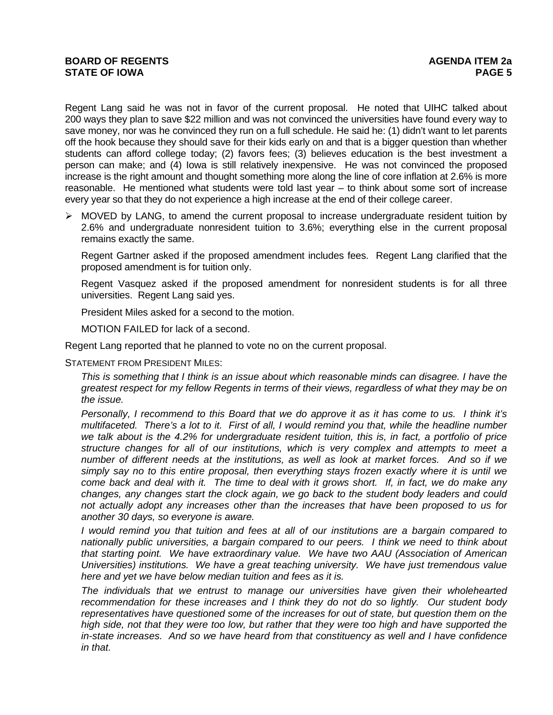Regent Lang said he was not in favor of the current proposal. He noted that UIHC talked about 200 ways they plan to save \$22 million and was not convinced the universities have found every way to save money, nor was he convinced they run on a full schedule. He said he: (1) didn't want to let parents off the hook because they should save for their kids early on and that is a bigger question than whether students can afford college today; (2) favors fees; (3) believes education is the best investment a person can make; and (4) Iowa is still relatively inexpensive. He was not convinced the proposed increase is the right amount and thought something more along the line of core inflation at 2.6% is more reasonable. He mentioned what students were told last year – to think about some sort of increase every year so that they do not experience a high increase at the end of their college career.

 $\triangleright$  MOVED by LANG, to amend the current proposal to increase undergraduate resident tuition by 2.6% and undergraduate nonresident tuition to 3.6%; everything else in the current proposal remains exactly the same.

Regent Gartner asked if the proposed amendment includes fees. Regent Lang clarified that the proposed amendment is for tuition only.

Regent Vasquez asked if the proposed amendment for nonresident students is for all three universities. Regent Lang said yes.

President Miles asked for a second to the motion.

MOTION FAILED for lack of a second.

Regent Lang reported that he planned to vote no on the current proposal.

STATEMENT FROM PRESIDENT MILES:

*This is something that I think is an issue about which reasonable minds can disagree. I have the greatest respect for my fellow Regents in terms of their views, regardless of what they may be on the issue.* 

*Personally, I recommend to this Board that we do approve it as it has come to us. I think it's multifaceted. There's a lot to it. First of all, I would remind you that, while the headline number we talk about is the 4.2% for undergraduate resident tuition, this is, in fact, a portfolio of price structure changes for all of our institutions, which is very complex and attempts to meet a number of different needs at the institutions, as well as look at market forces. And so if we simply say no to this entire proposal, then everything stays frozen exactly where it is until we come back and deal with it. The time to deal with it grows short. If, in fact, we do make any changes, any changes start the clock again, we go back to the student body leaders and could not actually adopt any increases other than the increases that have been proposed to us for another 30 days, so everyone is aware.* 

*I would remind you that tuition and fees at all of our institutions are a bargain compared to nationally public universities, a bargain compared to our peers. I think we need to think about that starting point. We have extraordinary value. We have two AAU (Association of American Universities) institutions. We have a great teaching university. We have just tremendous value here and yet we have below median tuition and fees as it is.* 

*The individuals that we entrust to manage our universities have given their wholehearted recommendation for these increases and I think they do not do so lightly. Our student body representatives have questioned some of the increases for out of state, but question them on the high side, not that they were too low, but rather that they were too high and have supported the in-state increases. And so we have heard from that constituency as well and I have confidence in that.*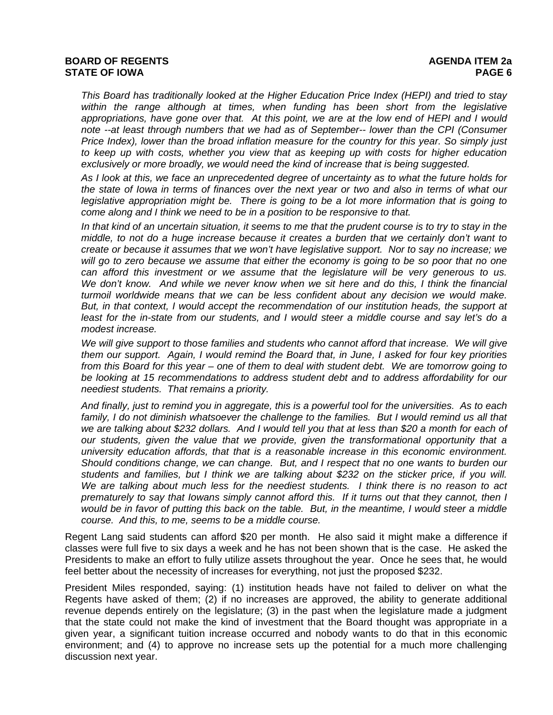## **BOARD OF REGENTS** AGENERAL BOARD OF REGENTS **STATE OF IOWA** PAGE 6 *PAGE 6*

*This Board has traditionally looked at the Higher Education Price Index (HEPI) and tried to stay within the range although at times, when funding has been short from the legislative appropriations, have gone over that. At this point, we are at the low end of HEPI and I would note --at least through numbers that we had as of September-- lower than the CPI (Consumer Price Index), lower than the broad inflation measure for the country for this year. So simply just to keep up with costs, whether you view that as keeping up with costs for higher education exclusively or more broadly, we would need the kind of increase that is being suggested.* 

*As I look at this, we face an unprecedented degree of uncertainty as to what the future holds for the state of Iowa in terms of finances over the next year or two and also in terms of what our legislative appropriation might be. There is going to be a lot more information that is going to come along and I think we need to be in a position to be responsive to that.* 

*In that kind of an uncertain situation, it seems to me that the prudent course is to try to stay in the middle, to not do a huge increase because it creates a burden that we certainly don't want to create or because it assumes that we won't have legislative support. Nor to say no increase; we will go to zero because we assume that either the economy is going to be so poor that no one can afford this investment or we assume that the legislature will be very generous to us. We don't know. And while we never know when we sit here and do this, I think the financial turmoil worldwide means that we can be less confident about any decision we would make. But, in that context, I would accept the recommendation of our institution heads, the support at*  least for the in-state from our students, and I would steer a middle course and say let's do a *modest increase.* 

*We will give support to those families and students who cannot afford that increase. We will give them our support. Again, I would remind the Board that, in June, I asked for four key priorities from this Board for this year – one of them to deal with student debt. We are tomorrow going to be looking at 15 recommendations to address student debt and to address affordability for our neediest students. That remains a priority.* 

*And finally, just to remind you in aggregate, this is a powerful tool for the universities. As to each*  family, I do not diminish whatsoever the challenge to the families. But I would remind us all that *we are talking about \$232 dollars. And I would tell you that at less than \$20 a month for each of our students, given the value that we provide, given the transformational opportunity that a university education affords, that that is a reasonable increase in this economic environment. Should conditions change, we can change. But, and I respect that no one wants to burden our students and families, but I think we are talking about \$232 on the sticker price, if you will. We are talking about much less for the neediest students. I think there is no reason to act prematurely to say that Iowans simply cannot afford this. If it turns out that they cannot, then I would be in favor of putting this back on the table. But, in the meantime, I would steer a middle course. And this, to me, seems to be a middle course.* 

Regent Lang said students can afford \$20 per month. He also said it might make a difference if classes were full five to six days a week and he has not been shown that is the case. He asked the Presidents to make an effort to fully utilize assets throughout the year. Once he sees that, he would feel better about the necessity of increases for everything, not just the proposed \$232.

President Miles responded, saying: (1) institution heads have not failed to deliver on what the Regents have asked of them; (2) if no increases are approved, the ability to generate additional revenue depends entirely on the legislature; (3) in the past when the legislature made a judgment that the state could not make the kind of investment that the Board thought was appropriate in a given year, a significant tuition increase occurred and nobody wants to do that in this economic environment; and (4) to approve no increase sets up the potential for a much more challenging discussion next year.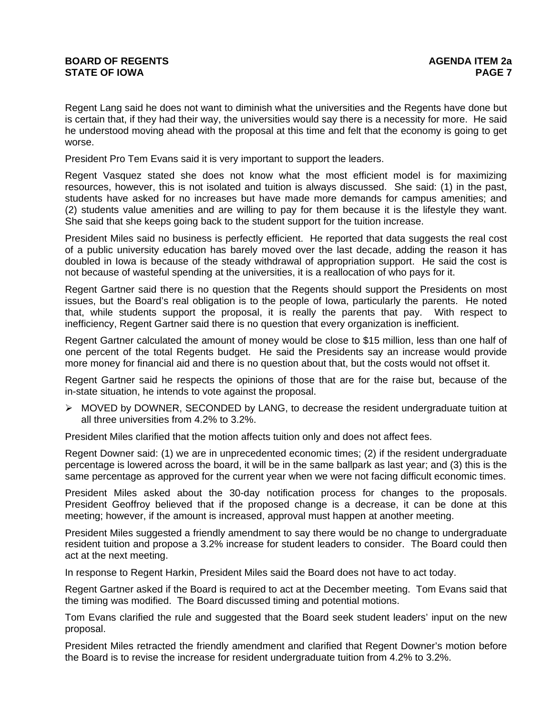Regent Lang said he does not want to diminish what the universities and the Regents have done but is certain that, if they had their way, the universities would say there is a necessity for more. He said he understood moving ahead with the proposal at this time and felt that the economy is going to get worse.

President Pro Tem Evans said it is very important to support the leaders.

Regent Vasquez stated she does not know what the most efficient model is for maximizing resources, however, this is not isolated and tuition is always discussed. She said: (1) in the past, students have asked for no increases but have made more demands for campus amenities; and (2) students value amenities and are willing to pay for them because it is the lifestyle they want. She said that she keeps going back to the student support for the tuition increase.

President Miles said no business is perfectly efficient. He reported that data suggests the real cost of a public university education has barely moved over the last decade, adding the reason it has doubled in Iowa is because of the steady withdrawal of appropriation support. He said the cost is not because of wasteful spending at the universities, it is a reallocation of who pays for it.

Regent Gartner said there is no question that the Regents should support the Presidents on most issues, but the Board's real obligation is to the people of Iowa, particularly the parents. He noted that, while students support the proposal, it is really the parents that pay. With respect to inefficiency, Regent Gartner said there is no question that every organization is inefficient.

Regent Gartner calculated the amount of money would be close to \$15 million, less than one half of one percent of the total Regents budget. He said the Presidents say an increase would provide more money for financial aid and there is no question about that, but the costs would not offset it.

Regent Gartner said he respects the opinions of those that are for the raise but, because of the in-state situation, he intends to vote against the proposal.

 $\triangleright$  MOVED by DOWNER, SECONDED by LANG, to decrease the resident undergraduate tuition at all three universities from 4.2% to 3.2%.

President Miles clarified that the motion affects tuition only and does not affect fees.

Regent Downer said: (1) we are in unprecedented economic times; (2) if the resident undergraduate percentage is lowered across the board, it will be in the same ballpark as last year; and (3) this is the same percentage as approved for the current year when we were not facing difficult economic times.

President Miles asked about the 30-day notification process for changes to the proposals. President Geoffroy believed that if the proposed change is a decrease, it can be done at this meeting; however, if the amount is increased, approval must happen at another meeting.

President Miles suggested a friendly amendment to say there would be no change to undergraduate resident tuition and propose a 3.2% increase for student leaders to consider. The Board could then act at the next meeting.

In response to Regent Harkin, President Miles said the Board does not have to act today.

Regent Gartner asked if the Board is required to act at the December meeting. Tom Evans said that the timing was modified. The Board discussed timing and potential motions.

Tom Evans clarified the rule and suggested that the Board seek student leaders' input on the new proposal.

President Miles retracted the friendly amendment and clarified that Regent Downer's motion before the Board is to revise the increase for resident undergraduate tuition from 4.2% to 3.2%.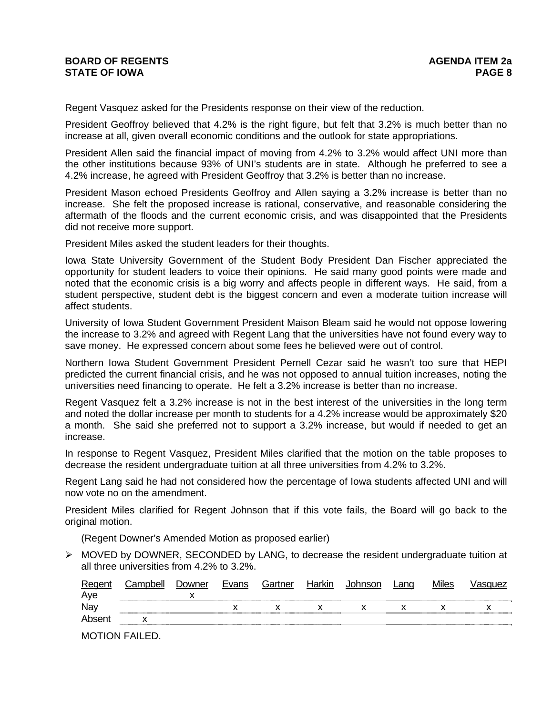Regent Vasquez asked for the Presidents response on their view of the reduction.

President Geoffroy believed that 4.2% is the right figure, but felt that 3.2% is much better than no increase at all, given overall economic conditions and the outlook for state appropriations.

President Allen said the financial impact of moving from 4.2% to 3.2% would affect UNI more than the other institutions because 93% of UNI's students are in state. Although he preferred to see a 4.2% increase, he agreed with President Geoffroy that 3.2% is better than no increase.

President Mason echoed Presidents Geoffroy and Allen saying a 3.2% increase is better than no increase. She felt the proposed increase is rational, conservative, and reasonable considering the aftermath of the floods and the current economic crisis, and was disappointed that the Presidents did not receive more support.

President Miles asked the student leaders for their thoughts.

Iowa State University Government of the Student Body President Dan Fischer appreciated the opportunity for student leaders to voice their opinions. He said many good points were made and noted that the economic crisis is a big worry and affects people in different ways. He said, from a student perspective, student debt is the biggest concern and even a moderate tuition increase will affect students.

University of Iowa Student Government President Maison Bleam said he would not oppose lowering the increase to 3.2% and agreed with Regent Lang that the universities have not found every way to save money. He expressed concern about some fees he believed were out of control.

Northern Iowa Student Government President Pernell Cezar said he wasn't too sure that HEPI predicted the current financial crisis, and he was not opposed to annual tuition increases, noting the universities need financing to operate. He felt a 3.2% increase is better than no increase.

Regent Vasquez felt a 3.2% increase is not in the best interest of the universities in the long term and noted the dollar increase per month to students for a 4.2% increase would be approximately \$20 a month. She said she preferred not to support a 3.2% increase, but would if needed to get an increase.

In response to Regent Vasquez, President Miles clarified that the motion on the table proposes to decrease the resident undergraduate tuition at all three universities from 4.2% to 3.2%.

Regent Lang said he had not considered how the percentage of Iowa students affected UNI and will now vote no on the amendment.

President Miles clarified for Regent Johnson that if this vote fails, the Board will go back to the original motion.

(Regent Downer's Amended Motion as proposed earlier)

 $\triangleright$  MOVED by DOWNER, SECONDED by LANG, to decrease the resident undergraduate tuition at all three universities from 4.2% to 3.2%.

| Regent | Campbell | Downer | Evans | Gartner | Harkin | Johnson | Lang | <b>Miles</b> | √asɑuez |
|--------|----------|--------|-------|---------|--------|---------|------|--------------|---------|
| Aye    |          |        |       |         |        |         |      |              |         |
| Nay    |          |        |       |         |        |         |      |              |         |
| Absent |          |        |       |         |        |         |      |              |         |
|        |          |        |       |         |        |         |      |              |         |

MOTION FAILED.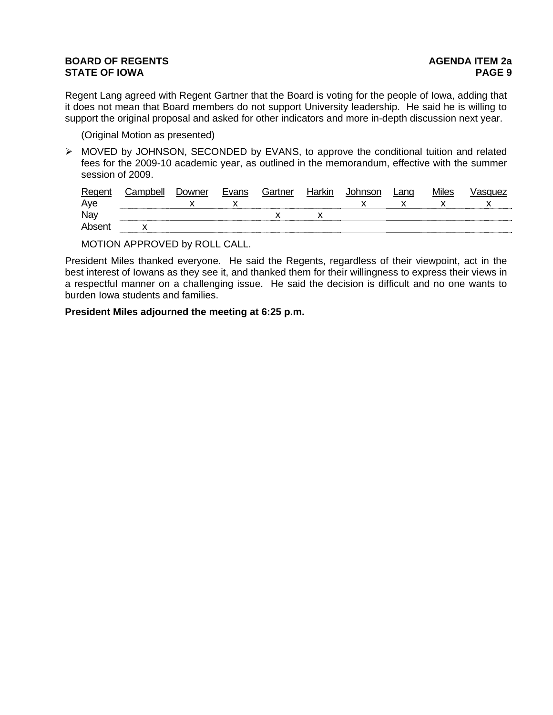# **BOARD OF REGENTS BOARD OF REGENTS STATE OF IOWA** PAGE 9

Regent Lang agreed with Regent Gartner that the Board is voting for the people of Iowa, adding that it does not mean that Board members do not support University leadership. He said he is willing to support the original proposal and asked for other indicators and more in-depth discussion next year.

(Original Motion as presented)

¾ MOVED by JOHNSON, SECONDED by EVANS, to approve the conditional tuition and related fees for the 2009-10 academic year, as outlined in the memorandum, effective with the summer session of 2009.

| Regent | Campbell | Downer | Evans | Gartner | Harkin | Johnson | Lang | <b>Miles</b> | √asɑuez |
|--------|----------|--------|-------|---------|--------|---------|------|--------------|---------|
| Aye    |          |        |       |         |        |         |      |              |         |
| Nay    |          |        |       |         |        |         |      |              |         |
| Absent |          |        |       |         |        |         |      |              |         |
|        |          |        |       |         |        |         |      |              |         |

MOTION APPROVED by ROLL CALL.

President Miles thanked everyone. He said the Regents, regardless of their viewpoint, act in the best interest of Iowans as they see it, and thanked them for their willingness to express their views in a respectful manner on a challenging issue. He said the decision is difficult and no one wants to burden Iowa students and families.

**President Miles adjourned the meeting at 6:25 p.m.**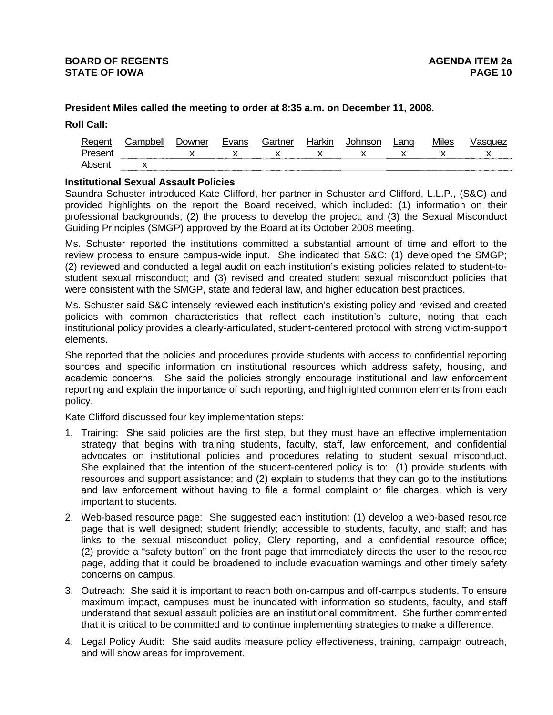## **President Miles called the meeting to order at 8:35 a.m. on December 11, 2008.**

**Roll Call:**

| Regent  | :ampbell | Downer | Evans | Gartner | Harkin | Johnson | Lang | Miles | Isauez |
|---------|----------|--------|-------|---------|--------|---------|------|-------|--------|
| Present |          |        |       |         |        |         |      |       |        |
| Absent  |          |        |       |         |        |         |      |       |        |

## **Institutional Sexual Assault Policies**

Saundra Schuster introduced Kate Clifford, her partner in Schuster and Clifford, L.L.P., (S&C) and provided highlights on the report the Board received, which included: (1) information on their professional backgrounds; (2) the process to develop the project; and (3) the Sexual Misconduct Guiding Principles (SMGP) approved by the Board at its October 2008 meeting.

Ms. Schuster reported the institutions committed a substantial amount of time and effort to the review process to ensure campus-wide input. She indicated that S&C: (1) developed the SMGP; (2) reviewed and conducted a legal audit on each institution's existing policies related to student-tostudent sexual misconduct; and (3) revised and created student sexual misconduct policies that were consistent with the SMGP, state and federal law, and higher education best practices.

Ms. Schuster said S&C intensely reviewed each institution's existing policy and revised and created policies with common characteristics that reflect each institution's culture, noting that each institutional policy provides a clearly-articulated, student-centered protocol with strong victim-support elements.

She reported that the policies and procedures provide students with access to confidential reporting sources and specific information on institutional resources which address safety, housing, and academic concerns. She said the policies strongly encourage institutional and law enforcement reporting and explain the importance of such reporting, and highlighted common elements from each policy.

Kate Clifford discussed four key implementation steps:

- 1. Training: She said policies are the first step, but they must have an effective implementation strategy that begins with training students, faculty, staff, law enforcement, and confidential advocates on institutional policies and procedures relating to student sexual misconduct. She explained that the intention of the student-centered policy is to: (1) provide students with resources and support assistance; and (2) explain to students that they can go to the institutions and law enforcement without having to file a formal complaint or file charges, which is very important to students.
- 2. Web-based resource page: She suggested each institution: (1) develop a web-based resource page that is well designed; student friendly; accessible to students, faculty, and staff; and has links to the sexual misconduct policy, Clery reporting, and a confidential resource office; (2) provide a "safety button" on the front page that immediately directs the user to the resource page, adding that it could be broadened to include evacuation warnings and other timely safety concerns on campus.
- 3. Outreach: She said it is important to reach both on-campus and off-campus students. To ensure maximum impact, campuses must be inundated with information so students, faculty, and staff understand that sexual assault policies are an institutional commitment. She further commented that it is critical to be committed and to continue implementing strategies to make a difference.
- 4. Legal Policy Audit: She said audits measure policy effectiveness, training, campaign outreach, and will show areas for improvement.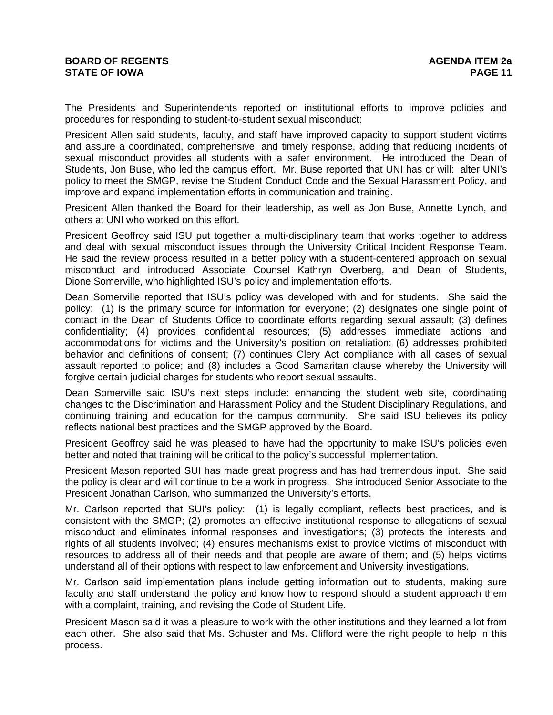The Presidents and Superintendents reported on institutional efforts to improve policies and procedures for responding to student-to-student sexual misconduct:

President Allen said students, faculty, and staff have improved capacity to support student victims and assure a coordinated, comprehensive, and timely response, adding that reducing incidents of sexual misconduct provides all students with a safer environment. He introduced the Dean of Students, Jon Buse, who led the campus effort. Mr. Buse reported that UNI has or will: alter UNI's policy to meet the SMGP, revise the Student Conduct Code and the Sexual Harassment Policy, and improve and expand implementation efforts in communication and training.

President Allen thanked the Board for their leadership, as well as Jon Buse, Annette Lynch, and others at UNI who worked on this effort.

President Geoffroy said ISU put together a multi-disciplinary team that works together to address and deal with sexual misconduct issues through the University Critical Incident Response Team. He said the review process resulted in a better policy with a student-centered approach on sexual misconduct and introduced Associate Counsel Kathryn Overberg, and Dean of Students, Dione Somerville, who highlighted ISU's policy and implementation efforts.

Dean Somerville reported that ISU's policy was developed with and for students. She said the policy: (1) is the primary source for information for everyone; (2) designates one single point of contact in the Dean of Students Office to coordinate efforts regarding sexual assault; (3) defines confidentiality; (4) provides confidential resources; (5) addresses immediate actions and accommodations for victims and the University's position on retaliation; (6) addresses prohibited behavior and definitions of consent; (7) continues Clery Act compliance with all cases of sexual assault reported to police; and (8) includes a Good Samaritan clause whereby the University will forgive certain judicial charges for students who report sexual assaults.

Dean Somerville said ISU's next steps include: enhancing the student web site, coordinating changes to the Discrimination and Harassment Policy and the Student Disciplinary Regulations, and continuing training and education for the campus community. She said ISU believes its policy reflects national best practices and the SMGP approved by the Board.

President Geoffroy said he was pleased to have had the opportunity to make ISU's policies even better and noted that training will be critical to the policy's successful implementation.

President Mason reported SUI has made great progress and has had tremendous input. She said the policy is clear and will continue to be a work in progress. She introduced Senior Associate to the President Jonathan Carlson, who summarized the University's efforts.

Mr. Carlson reported that SUI's policy: (1) is legally compliant, reflects best practices, and is consistent with the SMGP; (2) promotes an effective institutional response to allegations of sexual misconduct and eliminates informal responses and investigations; (3) protects the interests and rights of all students involved; (4) ensures mechanisms exist to provide victims of misconduct with resources to address all of their needs and that people are aware of them; and (5) helps victims understand all of their options with respect to law enforcement and University investigations.

Mr. Carlson said implementation plans include getting information out to students, making sure faculty and staff understand the policy and know how to respond should a student approach them with a complaint, training, and revising the Code of Student Life.

President Mason said it was a pleasure to work with the other institutions and they learned a lot from each other. She also said that Ms. Schuster and Ms. Clifford were the right people to help in this process.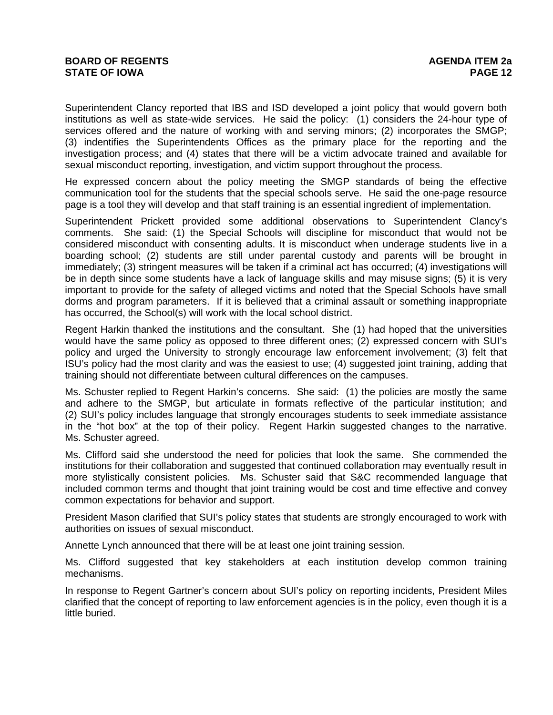Superintendent Clancy reported that IBS and ISD developed a joint policy that would govern both institutions as well as state-wide services. He said the policy: (1) considers the 24-hour type of services offered and the nature of working with and serving minors; (2) incorporates the SMGP; (3) indentifies the Superintendents Offices as the primary place for the reporting and the investigation process; and (4) states that there will be a victim advocate trained and available for sexual misconduct reporting, investigation, and victim support throughout the process.

He expressed concern about the policy meeting the SMGP standards of being the effective communication tool for the students that the special schools serve. He said the one-page resource page is a tool they will develop and that staff training is an essential ingredient of implementation.

Superintendent Prickett provided some additional observations to Superintendent Clancy's comments. She said: (1) the Special Schools will discipline for misconduct that would not be considered misconduct with consenting adults. It is misconduct when underage students live in a boarding school; (2) students are still under parental custody and parents will be brought in immediately; (3) stringent measures will be taken if a criminal act has occurred; (4) investigations will be in depth since some students have a lack of language skills and may misuse signs; (5) it is very important to provide for the safety of alleged victims and noted that the Special Schools have small dorms and program parameters. If it is believed that a criminal assault or something inappropriate has occurred, the School(s) will work with the local school district.

Regent Harkin thanked the institutions and the consultant. She (1) had hoped that the universities would have the same policy as opposed to three different ones; (2) expressed concern with SUI's policy and urged the University to strongly encourage law enforcement involvement; (3) felt that ISU's policy had the most clarity and was the easiest to use; (4) suggested joint training, adding that training should not differentiate between cultural differences on the campuses.

Ms. Schuster replied to Regent Harkin's concerns. She said: (1) the policies are mostly the same and adhere to the SMGP, but articulate in formats reflective of the particular institution; and (2) SUI's policy includes language that strongly encourages students to seek immediate assistance in the "hot box" at the top of their policy. Regent Harkin suggested changes to the narrative. Ms. Schuster agreed.

Ms. Clifford said she understood the need for policies that look the same. She commended the institutions for their collaboration and suggested that continued collaboration may eventually result in more stylistically consistent policies. Ms. Schuster said that S&C recommended language that included common terms and thought that joint training would be cost and time effective and convey common expectations for behavior and support.

President Mason clarified that SUI's policy states that students are strongly encouraged to work with authorities on issues of sexual misconduct.

Annette Lynch announced that there will be at least one joint training session.

Ms. Clifford suggested that key stakeholders at each institution develop common training mechanisms.

In response to Regent Gartner's concern about SUI's policy on reporting incidents, President Miles clarified that the concept of reporting to law enforcement agencies is in the policy, even though it is a little buried.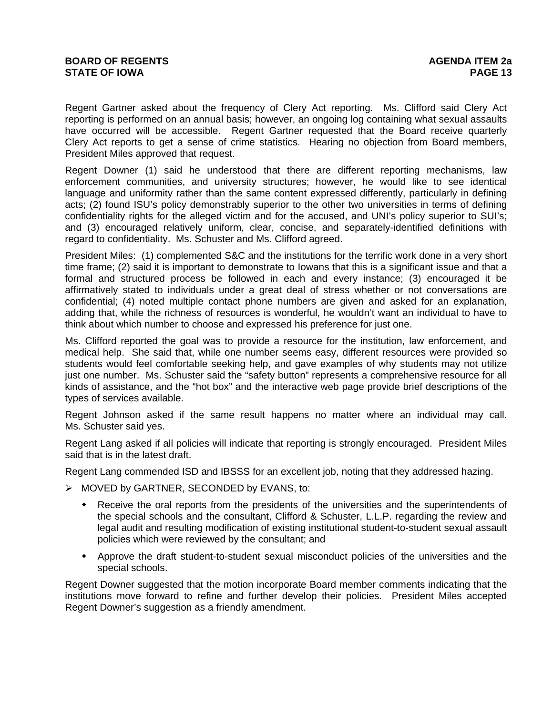Regent Gartner asked about the frequency of Clery Act reporting. Ms. Clifford said Clery Act reporting is performed on an annual basis; however, an ongoing log containing what sexual assaults have occurred will be accessible. Regent Gartner requested that the Board receive quarterly Clery Act reports to get a sense of crime statistics. Hearing no objection from Board members, President Miles approved that request.

Regent Downer (1) said he understood that there are different reporting mechanisms, law enforcement communities, and university structures; however, he would like to see identical language and uniformity rather than the same content expressed differently, particularly in defining acts; (2) found ISU's policy demonstrably superior to the other two universities in terms of defining confidentiality rights for the alleged victim and for the accused, and UNI's policy superior to SUI's; and (3) encouraged relatively uniform, clear, concise, and separately-identified definitions with regard to confidentiality. Ms. Schuster and Ms. Clifford agreed.

President Miles: (1) complemented S&C and the institutions for the terrific work done in a very short time frame; (2) said it is important to demonstrate to Iowans that this is a significant issue and that a formal and structured process be followed in each and every instance; (3) encouraged it be affirmatively stated to individuals under a great deal of stress whether or not conversations are confidential; (4) noted multiple contact phone numbers are given and asked for an explanation, adding that, while the richness of resources is wonderful, he wouldn't want an individual to have to think about which number to choose and expressed his preference for just one.

Ms. Clifford reported the goal was to provide a resource for the institution, law enforcement, and medical help. She said that, while one number seems easy, different resources were provided so students would feel comfortable seeking help, and gave examples of why students may not utilize just one number. Ms. Schuster said the "safety button" represents a comprehensive resource for all kinds of assistance, and the "hot box" and the interactive web page provide brief descriptions of the types of services available.

Regent Johnson asked if the same result happens no matter where an individual may call. Ms. Schuster said yes.

Regent Lang asked if all policies will indicate that reporting is strongly encouraged. President Miles said that is in the latest draft.

Regent Lang commended ISD and IBSSS for an excellent job, noting that they addressed hazing.

- ¾ MOVED by GARTNER, SECONDED by EVANS, to:
	- Receive the oral reports from the presidents of the universities and the superintendents of the special schools and the consultant, Clifford & Schuster, L.L.P. regarding the review and legal audit and resulting modification of existing institutional student-to-student sexual assault policies which were reviewed by the consultant; and
	- Approve the draft student-to-student sexual misconduct policies of the universities and the special schools.

Regent Downer suggested that the motion incorporate Board member comments indicating that the institutions move forward to refine and further develop their policies. President Miles accepted Regent Downer's suggestion as a friendly amendment.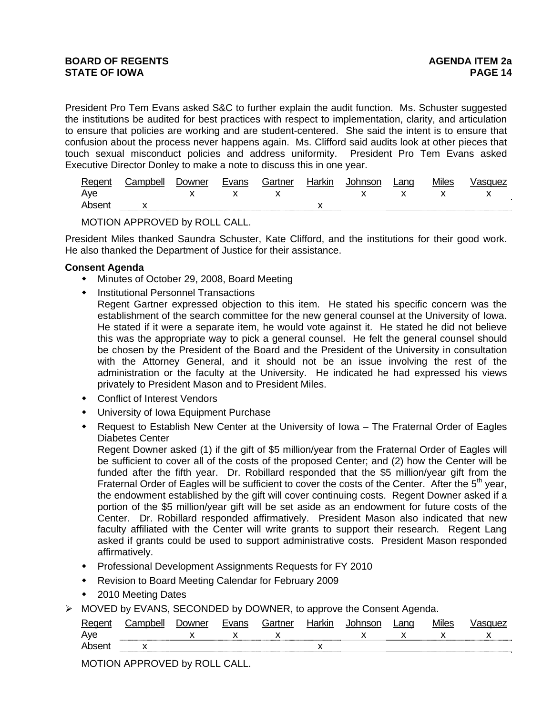President Pro Tem Evans asked S&C to further explain the audit function. Ms. Schuster suggested the institutions be audited for best practices with respect to implementation, clarity, and articulation to ensure that policies are working and are student-centered. She said the intent is to ensure that confusion about the process never happens again. Ms. Clifford said audits look at other pieces that touch sexual misconduct policies and address uniformity. President Pro Tem Evans asked Executive Director Donley to make a note to discuss this in one year.

| Rege  | `on | <b>Jowner</b> | $F1/2n^2$ | .⊰artner | NII | ∟ana | <b>Ailes</b> | בזי |
|-------|-----|---------------|-----------|----------|-----|------|--------------|-----|
| Aye   |     |               |           |          |     |      |              |     |
| Ahsei |     |               |           |          |     |      |              |     |

MOTION APPROVED by ROLL CALL.

President Miles thanked Saundra Schuster, Kate Clifford, and the institutions for their good work. He also thanked the Department of Justice for their assistance.

## **Consent Agenda**

- Minutes of October 29, 2008, Board Meeting
- Institutional Personnel Transactions
	- Regent Gartner expressed objection to this item. He stated his specific concern was the establishment of the search committee for the new general counsel at the University of Iowa. He stated if it were a separate item, he would vote against it. He stated he did not believe this was the appropriate way to pick a general counsel. He felt the general counsel should be chosen by the President of the Board and the President of the University in consultation with the Attorney General, and it should not be an issue involving the rest of the administration or the faculty at the University. He indicated he had expressed his views privately to President Mason and to President Miles.
- Conflict of Interest Vendors
- University of Iowa Equipment Purchase
- Request to Establish New Center at the University of Iowa The Fraternal Order of Eagles Diabetes Center

Regent Downer asked (1) if the gift of \$5 million/year from the Fraternal Order of Eagles will be sufficient to cover all of the costs of the proposed Center; and (2) how the Center will be funded after the fifth year. Dr. Robillard responded that the \$5 million/year gift from the Fraternal Order of Eagles will be sufficient to cover the costs of the Center. After the  $5<sup>th</sup>$  year, the endowment established by the gift will cover continuing costs. Regent Downer asked if a portion of the \$5 million/year gift will be set aside as an endowment for future costs of the Center. Dr. Robillard responded affirmatively. President Mason also indicated that new faculty affiliated with the Center will write grants to support their research. Regent Lang asked if grants could be used to support administrative costs. President Mason responded affirmatively.

- Professional Development Assignments Requests for FY 2010
- Revision to Board Meeting Calendar for February 2009
- ◆ 2010 Meeting Dates
- $\triangleright$  MOVED by EVANS, SECONDED by DOWNER, to approve the Consent Agenda.

| Reger | <b>Jowner</b> | Evane | Gartner     | Harkır | ınson   | Lano | <b>Miles</b> | ۱А |
|-------|---------------|-------|-------------|--------|---------|------|--------------|----|
| Ave   |               |       | $\cdot$<br> |        | $\cdot$ |      |              |    |
|       |               |       |             |        |         |      |              |    |

MOTION APPROVED by ROLL CALL.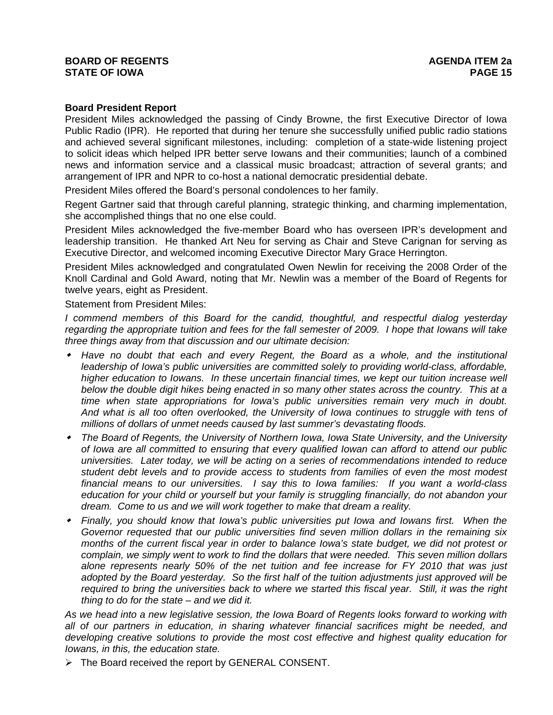## **BOARD OF REGENTS** AGENERAL BOARD OF REGENTS **STATE OF IOWA PAGE 15**

## **Board President Report**

President Miles acknowledged the passing of Cindy Browne, the first Executive Director of Iowa Public Radio (IPR). He reported that during her tenure she successfully unified public radio stations and achieved several significant milestones, including: completion of a state-wide listening project to solicit ideas which helped IPR better serve Iowans and their communities; launch of a combined news and information service and a classical music broadcast; attraction of several grants; and arrangement of IPR and NPR to co-host a national democratic presidential debate.

President Miles offered the Board's personal condolences to her family.

Regent Gartner said that through careful planning, strategic thinking, and charming implementation, she accomplished things that no one else could.

President Miles acknowledged the five-member Board who has overseen IPR's development and leadership transition. He thanked Art Neu for serving as Chair and Steve Carignan for serving as Executive Director, and welcomed incoming Executive Director Mary Grace Herrington.

President Miles acknowledged and congratulated Owen Newlin for receiving the 2008 Order of the Knoll Cardinal and Gold Award, noting that Mr. Newlin was a member of the Board of Regents for twelve years, eight as President.

Statement from President Miles:

*I commend members of this Board for the candid, thoughtful, and respectful dialog yesterday regarding the appropriate tuition and fees for the fall semester of 2009. I hope that Iowans will take three things away from that discussion and our ultimate decision:* 

- *Have no doubt that each and every Regent, the Board as a whole, and the institutional*  leadership of Iowa's public universities are committed solely to providing world-class, affordable, *higher education to Iowans. In these uncertain financial times, we kept our tuition increase well below the double digit hikes being enacted in so many other states across the country. This at a time when state appropriations for Iowa's public universities remain very much in doubt. And what is all too often overlooked, the University of Iowa continues to struggle with tens of millions of dollars of unmet needs caused by last summer's devastating floods.*
- *The Board of Regents, the University of Northern Iowa, Iowa State University, and the University of Iowa are all committed to ensuring that every qualified Iowan can afford to attend our public universities. Later today, we will be acting on a series of recommendations intended to reduce student debt levels and to provide access to students from families of even the most modest financial means to our universities. I say this to Iowa families: If you want a world-class education for your child or yourself but your family is struggling financially, do not abandon your dream. Come to us and we will work together to make that dream a reality.*
- *Finally, you should know that Iowa's public universities put Iowa and Iowans first. When the Governor requested that our public universities find seven million dollars in the remaining six months of the current fiscal year in order to balance Iowa's state budget, we did not protest or complain, we simply went to work to find the dollars that were needed. This seven million dollars alone represents nearly 50% of the net tuition and fee increase for FY 2010 that was just adopted by the Board yesterday. So the first half of the tuition adjustments just approved will be required to bring the universities back to where we started this fiscal year. Still, it was the right thing to do for the state – and we did it.*

*As we head into a new legislative session, the Iowa Board of Regents looks forward to working with all of our partners in education, in sharing whatever financial sacrifices might be needed, and developing creative solutions to provide the most cost effective and highest quality education for Iowans, in this, the education state.* 

 $\triangleright$  The Board received the report by GENERAL CONSENT.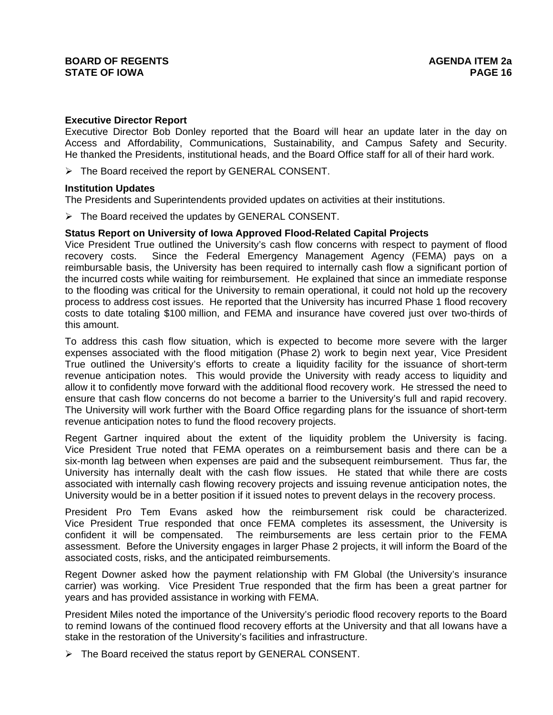### **Executive Director Report**

Executive Director Bob Donley reported that the Board will hear an update later in the day on Access and Affordability, Communications, Sustainability, and Campus Safety and Security. He thanked the Presidents, institutional heads, and the Board Office staff for all of their hard work.

 $\triangleright$  The Board received the report by GENERAL CONSENT.

### **Institution Updates**

The Presidents and Superintendents provided updates on activities at their institutions.

 $\triangleright$  The Board received the updates by GENERAL CONSENT.

### **Status Report on University of Iowa Approved Flood-Related Capital Projects**

Vice President True outlined the University's cash flow concerns with respect to payment of flood recovery costs. Since the Federal Emergency Management Agency (FEMA) pays on a reimbursable basis, the University has been required to internally cash flow a significant portion of the incurred costs while waiting for reimbursement. He explained that since an immediate response to the flooding was critical for the University to remain operational, it could not hold up the recovery process to address cost issues. He reported that the University has incurred Phase 1 flood recovery costs to date totaling \$100 million, and FEMA and insurance have covered just over two-thirds of this amount.

To address this cash flow situation, which is expected to become more severe with the larger expenses associated with the flood mitigation (Phase 2) work to begin next year, Vice President True outlined the University's efforts to create a liquidity facility for the issuance of short-term revenue anticipation notes. This would provide the University with ready access to liquidity and allow it to confidently move forward with the additional flood recovery work. He stressed the need to ensure that cash flow concerns do not become a barrier to the University's full and rapid recovery. The University will work further with the Board Office regarding plans for the issuance of short-term revenue anticipation notes to fund the flood recovery projects.

Regent Gartner inquired about the extent of the liquidity problem the University is facing. Vice President True noted that FEMA operates on a reimbursement basis and there can be a six-month lag between when expenses are paid and the subsequent reimbursement. Thus far, the University has internally dealt with the cash flow issues. He stated that while there are costs associated with internally cash flowing recovery projects and issuing revenue anticipation notes, the University would be in a better position if it issued notes to prevent delays in the recovery process.

President Pro Tem Evans asked how the reimbursement risk could be characterized. Vice President True responded that once FEMA completes its assessment, the University is confident it will be compensated. The reimbursements are less certain prior to the FEMA assessment. Before the University engages in larger Phase 2 projects, it will inform the Board of the associated costs, risks, and the anticipated reimbursements.

Regent Downer asked how the payment relationship with FM Global (the University's insurance carrier) was working. Vice President True responded that the firm has been a great partner for years and has provided assistance in working with FEMA.

President Miles noted the importance of the University's periodic flood recovery reports to the Board to remind Iowans of the continued flood recovery efforts at the University and that all Iowans have a stake in the restoration of the University's facilities and infrastructure.

 $\triangleright$  The Board received the status report by GENERAL CONSENT.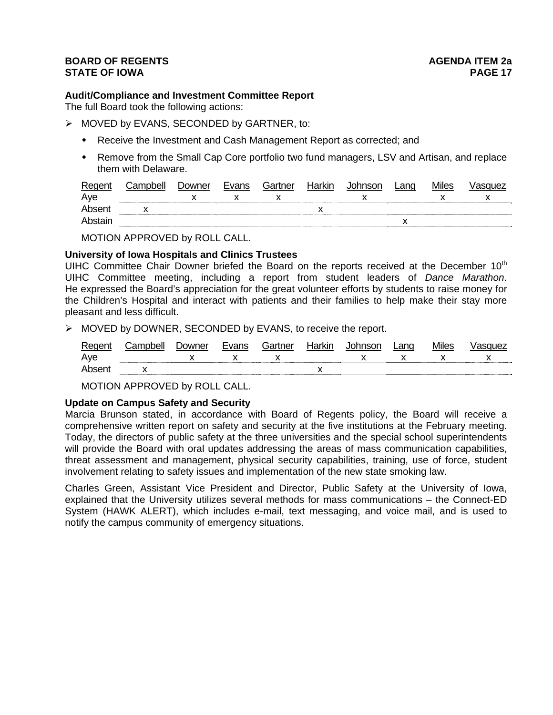# **BOARD OF REGENTS BOARD OF REGENTS STATE OF IOWA** PAGE 17

# **Audit/Compliance and Investment Committee Report**

The full Board took the following actions:

- ¾ MOVED by EVANS, SECONDED by GARTNER, to:
	- Receive the Investment and Cash Management Report as corrected; and
	- Remove from the Small Cap Core portfolio two fund managers, LSV and Artisan, and replace them with Delaware.

| Regent  | Campbell | Downer | Evans | Gartner | Harkin | Johnson | ∟ang | <b>Miles</b> | √asɑuez |
|---------|----------|--------|-------|---------|--------|---------|------|--------------|---------|
| Aye     |          |        |       |         |        |         |      |              |         |
| Absent  |          |        |       |         |        |         |      |              |         |
| Abstain |          |        |       |         |        |         |      |              |         |

MOTION APPROVED by ROLL CALL.

## **University of Iowa Hospitals and Clinics Trustees**

UIHC Committee Chair Downer briefed the Board on the reports received at the December 10<sup>th</sup> UIHC Committee meeting, including a report from student leaders of *Dance Marathon*. He expressed the Board's appreciation for the great volunteer efforts by students to raise money for the Children's Hospital and interact with patients and their families to help make their stay more pleasant and less difficult.

¾ MOVED by DOWNER, SECONDED by EVANS, to receive the report.

| Regent | Campbell | Jowner | Evans | Gartner | Harkin | Johnson | Lang | <b>Miles</b> | Vasquez |
|--------|----------|--------|-------|---------|--------|---------|------|--------------|---------|
| Aye    |          |        |       |         |        |         |      |              |         |
| Absent |          |        |       |         |        |         |      |              |         |

MOTION APPROVED by ROLL CALL.

#### **Update on Campus Safety and Security**

Marcia Brunson stated, in accordance with Board of Regents policy, the Board will receive a comprehensive written report on safety and security at the five institutions at the February meeting. Today, the directors of public safety at the three universities and the special school superintendents will provide the Board with oral updates addressing the areas of mass communication capabilities, threat assessment and management, physical security capabilities, training, use of force, student involvement relating to safety issues and implementation of the new state smoking law.

Charles Green, Assistant Vice President and Director, Public Safety at the University of Iowa, explained that the University utilizes several methods for mass communications – the Connect-ED System (HAWK ALERT), which includes e-mail, text messaging, and voice mail, and is used to notify the campus community of emergency situations.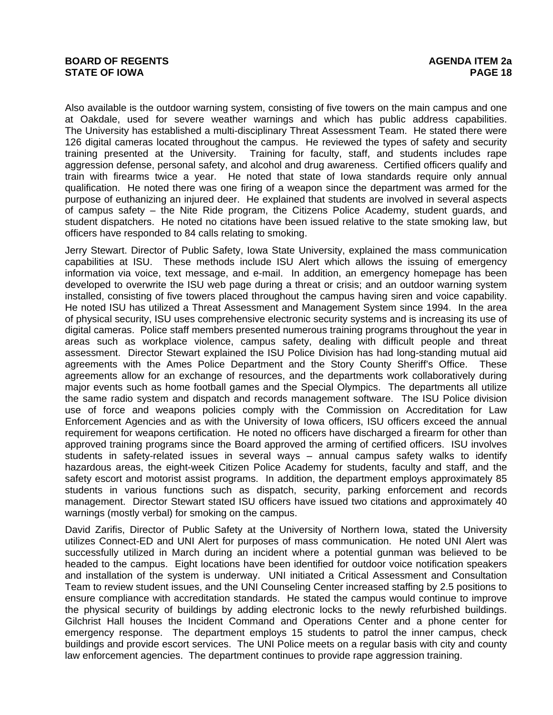Also available is the outdoor warning system, consisting of five towers on the main campus and one at Oakdale, used for severe weather warnings and which has public address capabilities. The University has established a multi-disciplinary Threat Assessment Team. He stated there were 126 digital cameras located throughout the campus. He reviewed the types of safety and security training presented at the University. Training for faculty, staff, and students includes rape aggression defense, personal safety, and alcohol and drug awareness. Certified officers qualify and train with firearms twice a year. He noted that state of Iowa standards require only annual qualification. He noted there was one firing of a weapon since the department was armed for the purpose of euthanizing an injured deer. He explained that students are involved in several aspects of campus safety – the Nite Ride program, the Citizens Police Academy, student guards, and student dispatchers. He noted no citations have been issued relative to the state smoking law, but officers have responded to 84 calls relating to smoking.

Jerry Stewart. Director of Public Safety, Iowa State University, explained the mass communication capabilities at ISU. These methods include ISU Alert which allows the issuing of emergency information via voice, text message, and e-mail. In addition, an emergency homepage has been developed to overwrite the ISU web page during a threat or crisis; and an outdoor warning system installed, consisting of five towers placed throughout the campus having siren and voice capability. He noted ISU has utilized a Threat Assessment and Management System since 1994. In the area of physical security, ISU uses comprehensive electronic security systems and is increasing its use of digital cameras. Police staff members presented numerous training programs throughout the year in areas such as workplace violence, campus safety, dealing with difficult people and threat assessment. Director Stewart explained the ISU Police Division has had long-standing mutual aid agreements with the Ames Police Department and the Story County Sheriff's Office. These agreements allow for an exchange of resources, and the departments work collaboratively during major events such as home football games and the Special Olympics. The departments all utilize the same radio system and dispatch and records management software. The ISU Police division use of force and weapons policies comply with the Commission on Accreditation for Law Enforcement Agencies and as with the University of Iowa officers, ISU officers exceed the annual requirement for weapons certification. He noted no officers have discharged a firearm for other than approved training programs since the Board approved the arming of certified officers. ISU involves students in safety-related issues in several ways – annual campus safety walks to identify hazardous areas, the eight-week Citizen Police Academy for students, faculty and staff, and the safety escort and motorist assist programs. In addition, the department employs approximately 85 students in various functions such as dispatch, security, parking enforcement and records management. Director Stewart stated ISU officers have issued two citations and approximately 40 warnings (mostly verbal) for smoking on the campus.

David Zarifis, Director of Public Safety at the University of Northern Iowa, stated the University utilizes Connect-ED and UNI Alert for purposes of mass communication. He noted UNI Alert was successfully utilized in March during an incident where a potential gunman was believed to be headed to the campus. Eight locations have been identified for outdoor voice notification speakers and installation of the system is underway. UNI initiated a Critical Assessment and Consultation Team to review student issues, and the UNI Counseling Center increased staffing by 2.5 positions to ensure compliance with accreditation standards. He stated the campus would continue to improve the physical security of buildings by adding electronic locks to the newly refurbished buildings. Gilchrist Hall houses the Incident Command and Operations Center and a phone center for emergency response. The department employs 15 students to patrol the inner campus, check buildings and provide escort services. The UNI Police meets on a regular basis with city and county law enforcement agencies. The department continues to provide rape aggression training.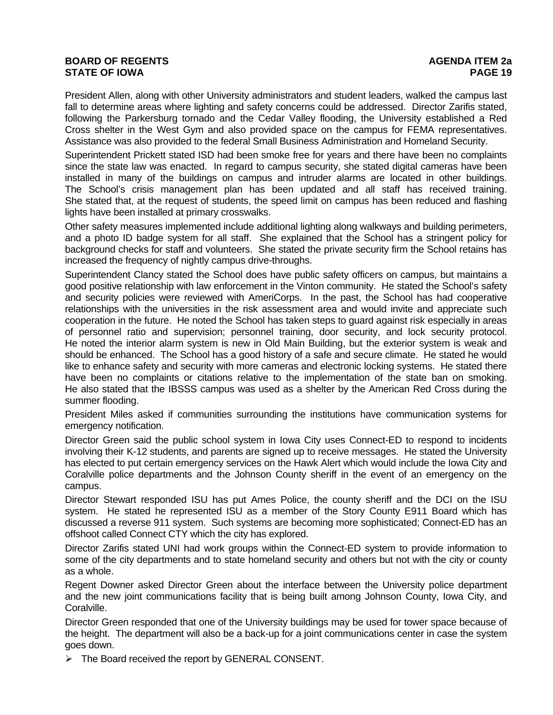# **BOARD OF REGENTS** AGENERAL BOARD OF REGENTS **STATE OF IOWA PAGE 19**

President Allen, along with other University administrators and student leaders, walked the campus last fall to determine areas where lighting and safety concerns could be addressed. Director Zarifis stated, following the Parkersburg tornado and the Cedar Valley flooding, the University established a Red Cross shelter in the West Gym and also provided space on the campus for FEMA representatives. Assistance was also provided to the federal Small Business Administration and Homeland Security.

Superintendent Prickett stated ISD had been smoke free for years and there have been no complaints since the state law was enacted. In regard to campus security, she stated digital cameras have been installed in many of the buildings on campus and intruder alarms are located in other buildings. The School's crisis management plan has been updated and all staff has received training. She stated that, at the request of students, the speed limit on campus has been reduced and flashing lights have been installed at primary crosswalks.

Other safety measures implemented include additional lighting along walkways and building perimeters, and a photo ID badge system for all staff. She explained that the School has a stringent policy for background checks for staff and volunteers. She stated the private security firm the School retains has increased the frequency of nightly campus drive-throughs.

Superintendent Clancy stated the School does have public safety officers on campus, but maintains a good positive relationship with law enforcement in the Vinton community. He stated the School's safety and security policies were reviewed with AmeriCorps. In the past, the School has had cooperative relationships with the universities in the risk assessment area and would invite and appreciate such cooperation in the future. He noted the School has taken steps to guard against risk especially in areas of personnel ratio and supervision; personnel training, door security, and lock security protocol. He noted the interior alarm system is new in Old Main Building, but the exterior system is weak and should be enhanced. The School has a good history of a safe and secure climate. He stated he would like to enhance safety and security with more cameras and electronic locking systems. He stated there have been no complaints or citations relative to the implementation of the state ban on smoking. He also stated that the IBSSS campus was used as a shelter by the American Red Cross during the summer flooding.

President Miles asked if communities surrounding the institutions have communication systems for emergency notification.

Director Green said the public school system in Iowa City uses Connect-ED to respond to incidents involving their K-12 students, and parents are signed up to receive messages. He stated the University has elected to put certain emergency services on the Hawk Alert which would include the Iowa City and Coralville police departments and the Johnson County sheriff in the event of an emergency on the campus.

Director Stewart responded ISU has put Ames Police, the county sheriff and the DCI on the ISU system. He stated he represented ISU as a member of the Story County E911 Board which has discussed a reverse 911 system. Such systems are becoming more sophisticated; Connect-ED has an offshoot called Connect CTY which the city has explored.

Director Zarifis stated UNI had work groups within the Connect-ED system to provide information to some of the city departments and to state homeland security and others but not with the city or county as a whole.

Regent Downer asked Director Green about the interface between the University police department and the new joint communications facility that is being built among Johnson County, Iowa City, and Coralville.

Director Green responded that one of the University buildings may be used for tower space because of the height. The department will also be a back-up for a joint communications center in case the system goes down.

 $\triangleright$  The Board received the report by GENERAL CONSENT.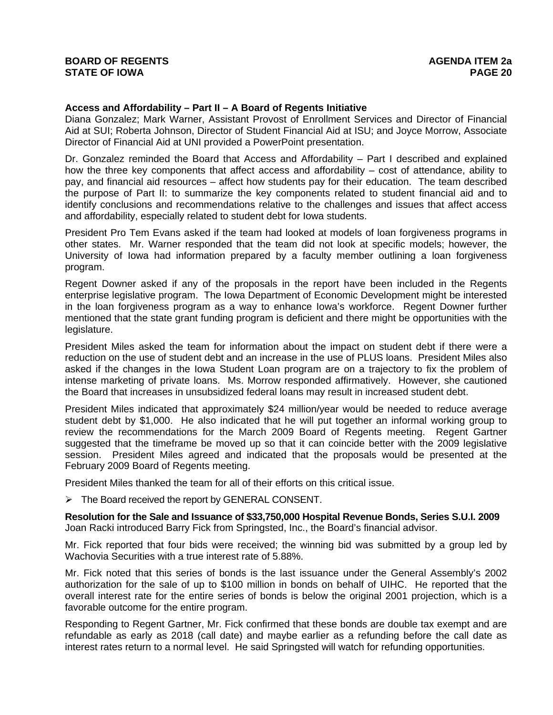### **Access and Affordability – Part II – A Board of Regents Initiative**

Diana Gonzalez; Mark Warner, Assistant Provost of Enrollment Services and Director of Financial Aid at SUI; Roberta Johnson, Director of Student Financial Aid at ISU; and Joyce Morrow, Associate Director of Financial Aid at UNI provided a PowerPoint presentation.

Dr. Gonzalez reminded the Board that Access and Affordability – Part I described and explained how the three key components that affect access and affordability – cost of attendance, ability to pay, and financial aid resources – affect how students pay for their education. The team described the purpose of Part II: to summarize the key components related to student financial aid and to identify conclusions and recommendations relative to the challenges and issues that affect access and affordability, especially related to student debt for Iowa students.

President Pro Tem Evans asked if the team had looked at models of loan forgiveness programs in other states. Mr. Warner responded that the team did not look at specific models; however, the University of Iowa had information prepared by a faculty member outlining a loan forgiveness program.

Regent Downer asked if any of the proposals in the report have been included in the Regents enterprise legislative program. The Iowa Department of Economic Development might be interested in the loan forgiveness program as a way to enhance Iowa's workforce. Regent Downer further mentioned that the state grant funding program is deficient and there might be opportunities with the legislature.

President Miles asked the team for information about the impact on student debt if there were a reduction on the use of student debt and an increase in the use of PLUS loans. President Miles also asked if the changes in the Iowa Student Loan program are on a trajectory to fix the problem of intense marketing of private loans. Ms. Morrow responded affirmatively. However, she cautioned the Board that increases in unsubsidized federal loans may result in increased student debt.

President Miles indicated that approximately \$24 million/year would be needed to reduce average student debt by \$1,000. He also indicated that he will put together an informal working group to review the recommendations for the March 2009 Board of Regents meeting. Regent Gartner suggested that the timeframe be moved up so that it can coincide better with the 2009 legislative session. President Miles agreed and indicated that the proposals would be presented at the February 2009 Board of Regents meeting.

President Miles thanked the team for all of their efforts on this critical issue.

¾ The Board received the report by GENERAL CONSENT.

**Resolution for the Sale and Issuance of \$33,750,000 Hospital Revenue Bonds, Series S.U.I. 2009**  Joan Racki introduced Barry Fick from Springsted, Inc., the Board's financial advisor.

Mr. Fick reported that four bids were received; the winning bid was submitted by a group led by Wachovia Securities with a true interest rate of 5.88%.

Mr. Fick noted that this series of bonds is the last issuance under the General Assembly's 2002 authorization for the sale of up to \$100 million in bonds on behalf of UIHC. He reported that the overall interest rate for the entire series of bonds is below the original 2001 projection, which is a favorable outcome for the entire program.

Responding to Regent Gartner, Mr. Fick confirmed that these bonds are double tax exempt and are refundable as early as 2018 (call date) and maybe earlier as a refunding before the call date as interest rates return to a normal level. He said Springsted will watch for refunding opportunities.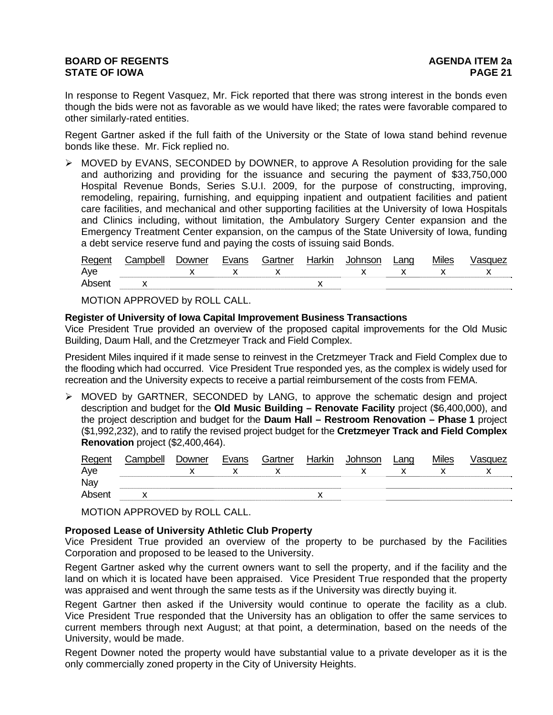# **BOARD OF REGENTS** AGENERAL BOARD OF REGENTS **STATE OF IOWA** PAGE 21

In response to Regent Vasquez, Mr. Fick reported that there was strong interest in the bonds even though the bids were not as favorable as we would have liked; the rates were favorable compared to other similarly-rated entities.

Regent Gartner asked if the full faith of the University or the State of Iowa stand behind revenue bonds like these. Mr. Fick replied no.

¾ MOVED by EVANS, SECONDED by DOWNER, to approve A Resolution providing for the sale and authorizing and providing for the issuance and securing the payment of \$33,750,000 Hospital Revenue Bonds, Series S.U.I. 2009, for the purpose of constructing, improving, remodeling, repairing, furnishing, and equipping inpatient and outpatient facilities and patient care facilities, and mechanical and other supporting facilities at the University of Iowa Hospitals and Clinics including, without limitation, the Ambulatory Surgery Center expansion and the Emergency Treatment Center expansion, on the campus of the State University of Iowa, funding a debt service reserve fund and paying the costs of issuing said Bonds.

| Regent | `omnholl | Jowner | Evanc | Gartner | Harkır I | าทc∩n | ∟and | ∕lıles |  |
|--------|----------|--------|-------|---------|----------|-------|------|--------|--|
| Ave    |          |        |       |         |          |       |      |        |  |
|        |          |        |       |         |          |       |      |        |  |

MOTION APPROVED by ROLL CALL.

### **Register of University of Iowa Capital Improvement Business Transactions**

Vice President True provided an overview of the proposed capital improvements for the Old Music Building, Daum Hall, and the Cretzmeyer Track and Field Complex.

President Miles inquired if it made sense to reinvest in the Cretzmeyer Track and Field Complex due to the flooding which had occurred. Vice President True responded yes, as the complex is widely used for recreation and the University expects to receive a partial reimbursement of the costs from FEMA.

¾ MOVED by GARTNER, SECONDED by LANG, to approve the schematic design and project description and budget for the **Old Music Building – Renovate Facility** project (\$6,400,000), and the project description and budget for the **Daum Hall – Restroom Renovation – Phase 1** project (\$1,992,232), and to ratify the revised project budget for the **Cretzmeyer Track and Field Complex Renovation** project (\$2,400,464).

| Regent | Campbell | Downer | Evans | Gartner | Harkin | Johnson | Lang | <b>Miles</b> | Vasquez |
|--------|----------|--------|-------|---------|--------|---------|------|--------------|---------|
| Aye    |          |        |       |         |        |         |      |              |         |
| Nay    |          |        |       |         |        |         |      |              |         |
| Absent |          |        |       |         |        |         |      |              |         |

MOTION APPROVED by ROLL CALL.

## **Proposed Lease of University Athletic Club Property**

Vice President True provided an overview of the property to be purchased by the Facilities Corporation and proposed to be leased to the University.

Regent Gartner asked why the current owners want to sell the property, and if the facility and the land on which it is located have been appraised. Vice President True responded that the property was appraised and went through the same tests as if the University was directly buying it.

Regent Gartner then asked if the University would continue to operate the facility as a club. Vice President True responded that the University has an obligation to offer the same services to current members through next August; at that point, a determination, based on the needs of the University, would be made.

Regent Downer noted the property would have substantial value to a private developer as it is the only commercially zoned property in the City of University Heights.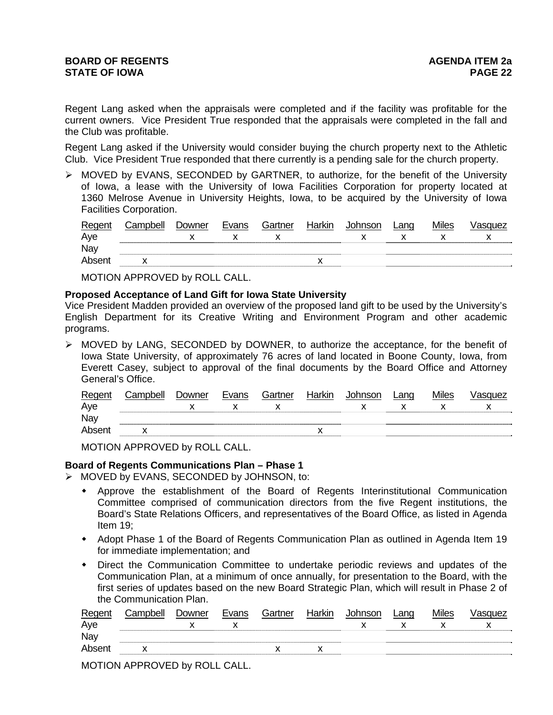Regent Lang asked when the appraisals were completed and if the facility was profitable for the current owners. Vice President True responded that the appraisals were completed in the fall and the Club was profitable.

Regent Lang asked if the University would consider buying the church property next to the Athletic Club. Vice President True responded that there currently is a pending sale for the church property.

 $\triangleright$  MOVED by EVANS, SECONDED by GARTNER, to authorize, for the benefit of the University of Iowa, a lease with the University of Iowa Facilities Corporation for property located at 1360 Melrose Avenue in University Heights, Iowa, to be acquired by the University of Iowa Facilities Corporation.

| Regent       | Campbell | Downer | Evans | Gartner | Harkin | Johnson | _ano | <b>Miles</b> | /asquez |
|--------------|----------|--------|-------|---------|--------|---------|------|--------------|---------|
| Aye          |          |        |       |         |        |         |      |              |         |
| Nay          |          |        |       |         |        |         |      |              |         |
| <b>Absen</b> |          |        |       |         |        |         |      |              |         |

MOTION APPROVED by ROLL CALL.

### **Proposed Acceptance of Land Gift for Iowa State University**

Vice President Madden provided an overview of the proposed land gift to be used by the University's English Department for its Creative Writing and Environment Program and other academic programs.

 $\triangleright$  MOVED by LANG, SECONDED by DOWNER, to authorize the acceptance, for the benefit of Iowa State University, of approximately 76 acres of land located in Boone County, Iowa, from Everett Casey, subject to approval of the final documents by the Board Office and Attorney General's Office.

| Regent | Campbell | Downer | Evans | Gartner | Harkin | Johnson | Land | <b>Miles</b> | /asquez |
|--------|----------|--------|-------|---------|--------|---------|------|--------------|---------|
| Aye    |          |        |       |         |        |         |      |              |         |
| Nay    |          |        |       |         |        |         |      |              |         |
| Absent |          |        |       |         |        |         |      |              |         |

MOTION APPROVED by ROLL CALL.

## **Board of Regents Communications Plan – Phase 1**

¾ MOVED by EVANS, SECONDED by JOHNSON, to:

- Approve the establishment of the Board of Regents Interinstitutional Communication Committee comprised of communication directors from the five Regent institutions, the Board's State Relations Officers, and representatives of the Board Office, as listed in Agenda Item 19;
- Adopt Phase 1 of the Board of Regents Communication Plan as outlined in Agenda Item 19 for immediate implementation; and
- Direct the Communication Committee to undertake periodic reviews and updates of the Communication Plan, at a minimum of once annually, for presentation to the Board, with the first series of updates based on the new Board Strategic Plan, which will result in Phase 2 of the Communication Plan.

| Regent | Campbell | Downer | Evans | Gartner | Harkin | Johnson | Lang | <b>Miles</b> | /asquez |
|--------|----------|--------|-------|---------|--------|---------|------|--------------|---------|
| Aye    |          |        |       |         |        |         |      |              |         |
| Nay    |          |        |       |         |        |         |      |              |         |
| Absent |          |        |       |         |        |         |      |              |         |
|        |          |        |       |         |        |         |      |              |         |

MOTION APPROVED by ROLL CALL.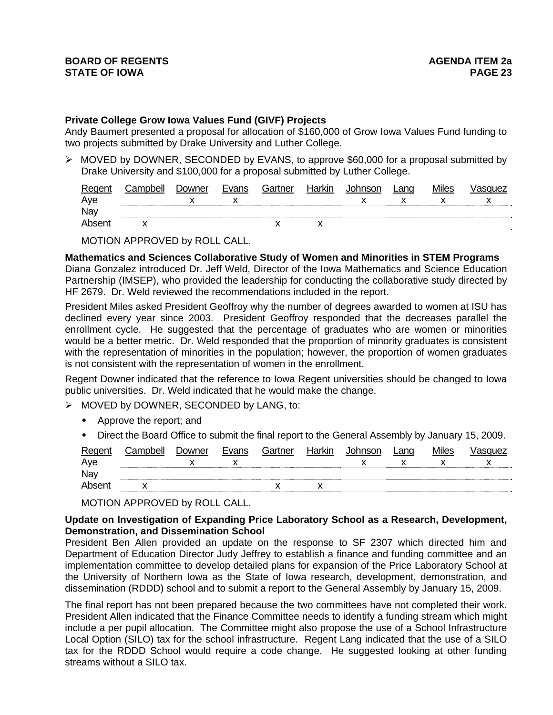### **Private College Grow Iowa Values Fund (GIVF) Projects**

Andy Baumert presented a proposal for allocation of \$160,000 of Grow Iowa Values Fund funding to two projects submitted by Drake University and Luther College.

 $\triangleright$  MOVED by DOWNER, SECONDED by EVANS, to approve \$60,000 for a proposal submitted by Drake University and \$100,000 for a proposal submitted by Luther College.

| Regent | Campbell | Downer | Evans | Gartner | Harkin | Johnson | Land | <b>Miles</b> | √asɑuez |
|--------|----------|--------|-------|---------|--------|---------|------|--------------|---------|
| Aye    |          |        |       |         |        |         |      |              |         |
| Nay    |          |        |       |         |        |         |      |              |         |
| Absent |          |        |       |         |        |         |      |              |         |
|        |          |        |       |         |        |         |      |              |         |

MOTION APPROVED by ROLL CALL.

**Mathematics and Sciences Collaborative Study of Women and Minorities in STEM Programs** 

Diana Gonzalez introduced Dr. Jeff Weld, Director of the Iowa Mathematics and Science Education Partnership (IMSEP), who provided the leadership for conducting the collaborative study directed by HF 2679. Dr. Weld reviewed the recommendations included in the report.

President Miles asked President Geoffroy why the number of degrees awarded to women at ISU has declined every year since 2003. President Geoffroy responded that the decreases parallel the enrollment cycle. He suggested that the percentage of graduates who are women or minorities would be a better metric. Dr. Weld responded that the proportion of minority graduates is consistent with the representation of minorities in the population; however, the proportion of women graduates is not consistent with the representation of women in the enrollment.

Regent Downer indicated that the reference to Iowa Regent universities should be changed to Iowa public universities. Dr. Weld indicated that he would make the change.

- $\triangleright$  MOVED by DOWNER, SECONDED by LANG, to:
	- Approve the report; and
	- Direct the Board Office to submit the final report to the General Assembly by January 15, 2009.

| Regent | Campbell | Downer | Evans | Gartner | Harkin | Johnson | Lang | <b>Miles</b> | Vasquez |
|--------|----------|--------|-------|---------|--------|---------|------|--------------|---------|
| Aye    |          |        |       |         |        |         |      |              |         |
| Nay    |          |        |       |         |        |         |      |              |         |
| Absent |          |        |       |         |        |         |      |              |         |

MOTION APPROVED by ROLL CALL.

## **Update on Investigation of Expanding Price Laboratory School as a Research, Development, Demonstration, and Dissemination School**

President Ben Allen provided an update on the response to SF 2307 which directed him and Department of Education Director Judy Jeffrey to establish a finance and funding committee and an implementation committee to develop detailed plans for expansion of the Price Laboratory School at the University of Northern Iowa as the State of Iowa research, development, demonstration, and dissemination (RDDD) school and to submit a report to the General Assembly by January 15, 2009.

The final report has not been prepared because the two committees have not completed their work. President Allen indicated that the Finance Committee needs to identify a funding stream which might include a per pupil allocation. The Committee might also propose the use of a School Infrastructure Local Option (SILO) tax for the school infrastructure. Regent Lang indicated that the use of a SILO tax for the RDDD School would require a code change. He suggested looking at other funding streams without a SILO tax.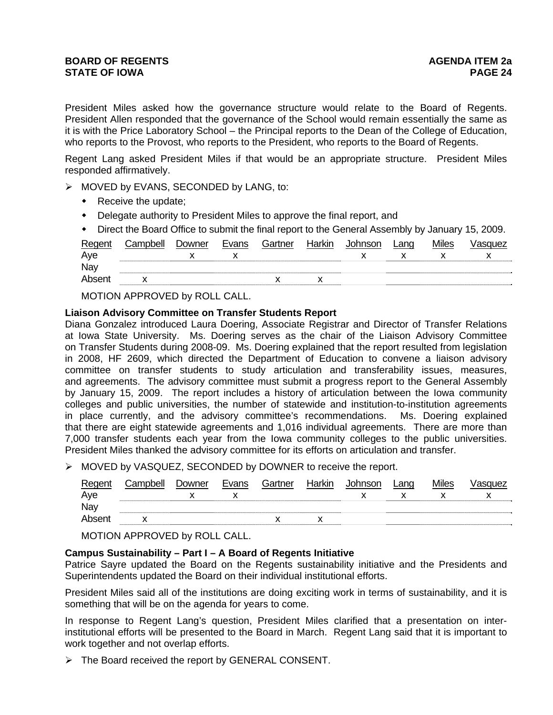President Miles asked how the governance structure would relate to the Board of Regents. President Allen responded that the governance of the School would remain essentially the same as it is with the Price Laboratory School – the Principal reports to the Dean of the College of Education, who reports to the Provost, who reports to the President, who reports to the Board of Regents.

Regent Lang asked President Miles if that would be an appropriate structure. President Miles responded affirmatively.

- ¾ MOVED by EVANS, SECONDED by LANG, to:
	- Receive the update;
	- Delegate authority to President Miles to approve the final report, and
	- Direct the Board Office to submit the final report to the General Assembly by January 15, 2009.

| Regent | Campbell | Downer | Evans | Gartner | Harkin | Johnson | Lang | <b>Miles</b> | √asɑuez |
|--------|----------|--------|-------|---------|--------|---------|------|--------------|---------|
| Aye    |          |        |       |         |        |         |      |              |         |
| Nay    |          |        |       |         |        |         |      |              |         |
| Absent |          |        |       |         |        |         |      |              |         |
|        |          |        |       |         |        |         |      |              |         |

MOTION APPROVED by ROLL CALL.

### **Liaison Advisory Committee on Transfer Students Report**

Diana Gonzalez introduced Laura Doering, Associate Registrar and Director of Transfer Relations at Iowa State University. Ms. Doering serves as the chair of the Liaison Advisory Committee on Transfer Students during 2008-09. Ms. Doering explained that the report resulted from legislation in 2008, HF 2609, which directed the Department of Education to convene a liaison advisory committee on transfer students to study articulation and transferability issues, measures, and agreements. The advisory committee must submit a progress report to the General Assembly by January 15, 2009. The report includes a history of articulation between the Iowa community colleges and public universities, the number of statewide and institution-to-institution agreements in place currently, and the advisory committee's recommendations. Ms. Doering explained that there are eight statewide agreements and 1,016 individual agreements. There are more than 7,000 transfer students each year from the Iowa community colleges to the public universities. President Miles thanked the advisory committee for its efforts on articulation and transfer.

¾ MOVED by VASQUEZ, SECONDED by DOWNER to receive the report.

| Regent<br>Aye | Campbell | Downer | Evans | Gartner | Harkin | Johnson | Lang | <b>Miles</b> | Vasquez |
|---------------|----------|--------|-------|---------|--------|---------|------|--------------|---------|
| Nay           |          |        |       |         |        |         |      |              |         |
| Absent        |          |        |       |         |        |         |      |              |         |
|               |          |        |       |         |        |         |      |              |         |

MOTION APPROVED by ROLL CALL.

## **Campus Sustainability – Part I – A Board of Regents Initiative**

Patrice Sayre updated the Board on the Regents sustainability initiative and the Presidents and Superintendents updated the Board on their individual institutional efforts.

President Miles said all of the institutions are doing exciting work in terms of sustainability, and it is something that will be on the agenda for years to come.

In response to Regent Lang's question, President Miles clarified that a presentation on interinstitutional efforts will be presented to the Board in March. Regent Lang said that it is important to work together and not overlap efforts.

¾ The Board received the report by GENERAL CONSENT.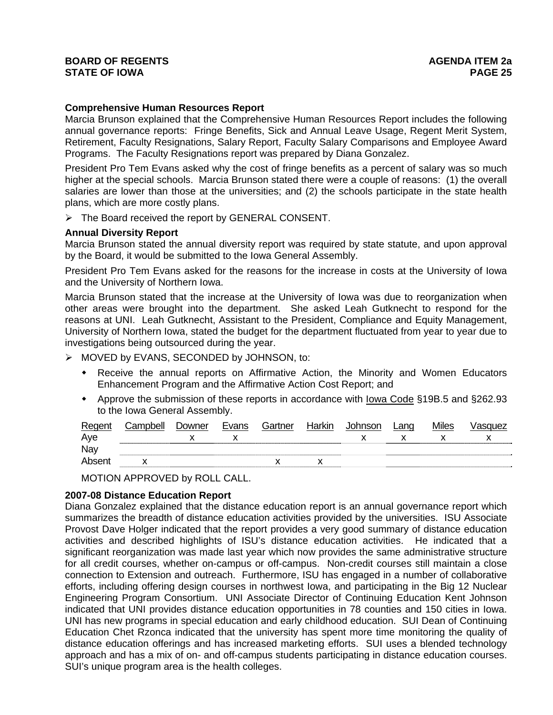# **BOARD OF REGENTS** AGENERAL BOARD OF REGENTS **STATE OF IOWA PAGE 25**

### **Comprehensive Human Resources Report**

Marcia Brunson explained that the Comprehensive Human Resources Report includes the following annual governance reports: Fringe Benefits, Sick and Annual Leave Usage, Regent Merit System, Retirement, Faculty Resignations, Salary Report, Faculty Salary Comparisons and Employee Award Programs. The Faculty Resignations report was prepared by Diana Gonzalez.

President Pro Tem Evans asked why the cost of fringe benefits as a percent of salary was so much higher at the special schools. Marcia Brunson stated there were a couple of reasons: (1) the overall salaries are lower than those at the universities; and (2) the schools participate in the state health plans, which are more costly plans.

¾ The Board received the report by GENERAL CONSENT.

### **Annual Diversity Report**

Marcia Brunson stated the annual diversity report was required by state statute, and upon approval by the Board, it would be submitted to the Iowa General Assembly.

President Pro Tem Evans asked for the reasons for the increase in costs at the University of Iowa and the University of Northern Iowa.

Marcia Brunson stated that the increase at the University of Iowa was due to reorganization when other areas were brought into the department. She asked Leah Gutknecht to respond for the reasons at UNI. Leah Gutknecht, Assistant to the President, Compliance and Equity Management, University of Northern Iowa, stated the budget for the department fluctuated from year to year due to investigations being outsourced during the year.

¾ MOVED by EVANS, SECONDED by JOHNSON, to:

- Receive the annual reports on Affirmative Action, the Minority and Women Educators Enhancement Program and the Affirmative Action Cost Report; and
- Approve the submission of these reports in accordance with Iowa Code §19B.5 and §262.93 to the Iowa General Assembly.

| Regent | Campbell | Downer | Evans | Gartner | Harkin | Johnson | Lang | <b>Miles</b> | √asquez |
|--------|----------|--------|-------|---------|--------|---------|------|--------------|---------|
| Aye    |          |        |       |         |        |         |      |              |         |
| Nay    |          |        |       |         |        |         |      |              |         |
| Absent |          |        |       |         |        |         |      |              |         |
|        |          |        |       |         |        |         |      |              |         |

MOTION APPROVED by ROLL CALL.

## **2007-08 Distance Education Report**

Diana Gonzalez explained that the distance education report is an annual governance report which summarizes the breadth of distance education activities provided by the universities. ISU Associate Provost Dave Holger indicated that the report provides a very good summary of distance education activities and described highlights of ISU's distance education activities. He indicated that a significant reorganization was made last year which now provides the same administrative structure for all credit courses, whether on-campus or off-campus. Non-credit courses still maintain a close connection to Extension and outreach. Furthermore, ISU has engaged in a number of collaborative efforts, including offering design courses in northwest Iowa, and participating in the Big 12 Nuclear Engineering Program Consortium. UNI Associate Director of Continuing Education Kent Johnson indicated that UNI provides distance education opportunities in 78 counties and 150 cities in Iowa. UNI has new programs in special education and early childhood education. SUI Dean of Continuing Education Chet Rzonca indicated that the university has spent more time monitoring the quality of distance education offerings and has increased marketing efforts. SUI uses a blended technology approach and has a mix of on- and off-campus students participating in distance education courses. SUI's unique program area is the health colleges.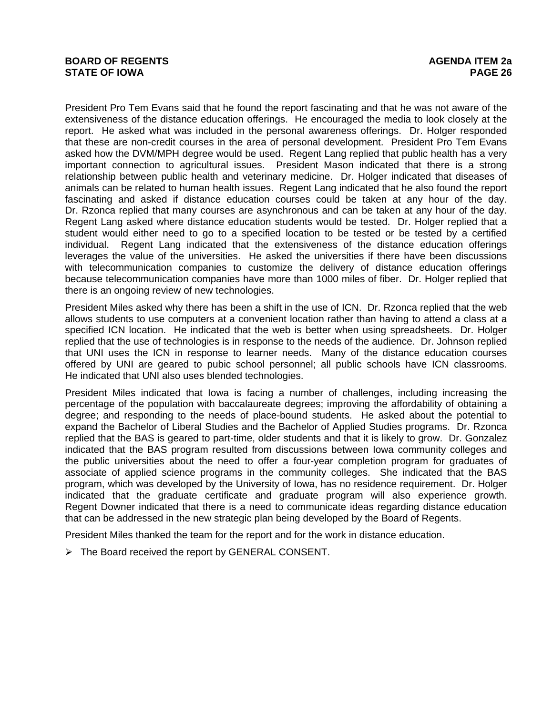President Pro Tem Evans said that he found the report fascinating and that he was not aware of the extensiveness of the distance education offerings. He encouraged the media to look closely at the report. He asked what was included in the personal awareness offerings. Dr. Holger responded that these are non-credit courses in the area of personal development. President Pro Tem Evans asked how the DVM/MPH degree would be used. Regent Lang replied that public health has a very important connection to agricultural issues. President Mason indicated that there is a strong relationship between public health and veterinary medicine. Dr. Holger indicated that diseases of animals can be related to human health issues. Regent Lang indicated that he also found the report fascinating and asked if distance education courses could be taken at any hour of the day. Dr. Rzonca replied that many courses are asynchronous and can be taken at any hour of the day. Regent Lang asked where distance education students would be tested. Dr. Holger replied that a student would either need to go to a specified location to be tested or be tested by a certified individual. Regent Lang indicated that the extensiveness of the distance education offerings leverages the value of the universities. He asked the universities if there have been discussions with telecommunication companies to customize the delivery of distance education offerings because telecommunication companies have more than 1000 miles of fiber. Dr. Holger replied that there is an ongoing review of new technologies.

President Miles asked why there has been a shift in the use of ICN. Dr. Rzonca replied that the web allows students to use computers at a convenient location rather than having to attend a class at a specified ICN location. He indicated that the web is better when using spreadsheets. Dr. Holger replied that the use of technologies is in response to the needs of the audience. Dr. Johnson replied that UNI uses the ICN in response to learner needs. Many of the distance education courses offered by UNI are geared to pubic school personnel; all public schools have ICN classrooms. He indicated that UNI also uses blended technologies.

President Miles indicated that Iowa is facing a number of challenges, including increasing the percentage of the population with baccalaureate degrees; improving the affordability of obtaining a degree; and responding to the needs of place-bound students. He asked about the potential to expand the Bachelor of Liberal Studies and the Bachelor of Applied Studies programs. Dr. Rzonca replied that the BAS is geared to part-time, older students and that it is likely to grow. Dr. Gonzalez indicated that the BAS program resulted from discussions between Iowa community colleges and the public universities about the need to offer a four-year completion program for graduates of associate of applied science programs in the community colleges. She indicated that the BAS program, which was developed by the University of Iowa, has no residence requirement. Dr. Holger indicated that the graduate certificate and graduate program will also experience growth. Regent Downer indicated that there is a need to communicate ideas regarding distance education that can be addressed in the new strategic plan being developed by the Board of Regents.

President Miles thanked the team for the report and for the work in distance education.

¾ The Board received the report by GENERAL CONSENT.